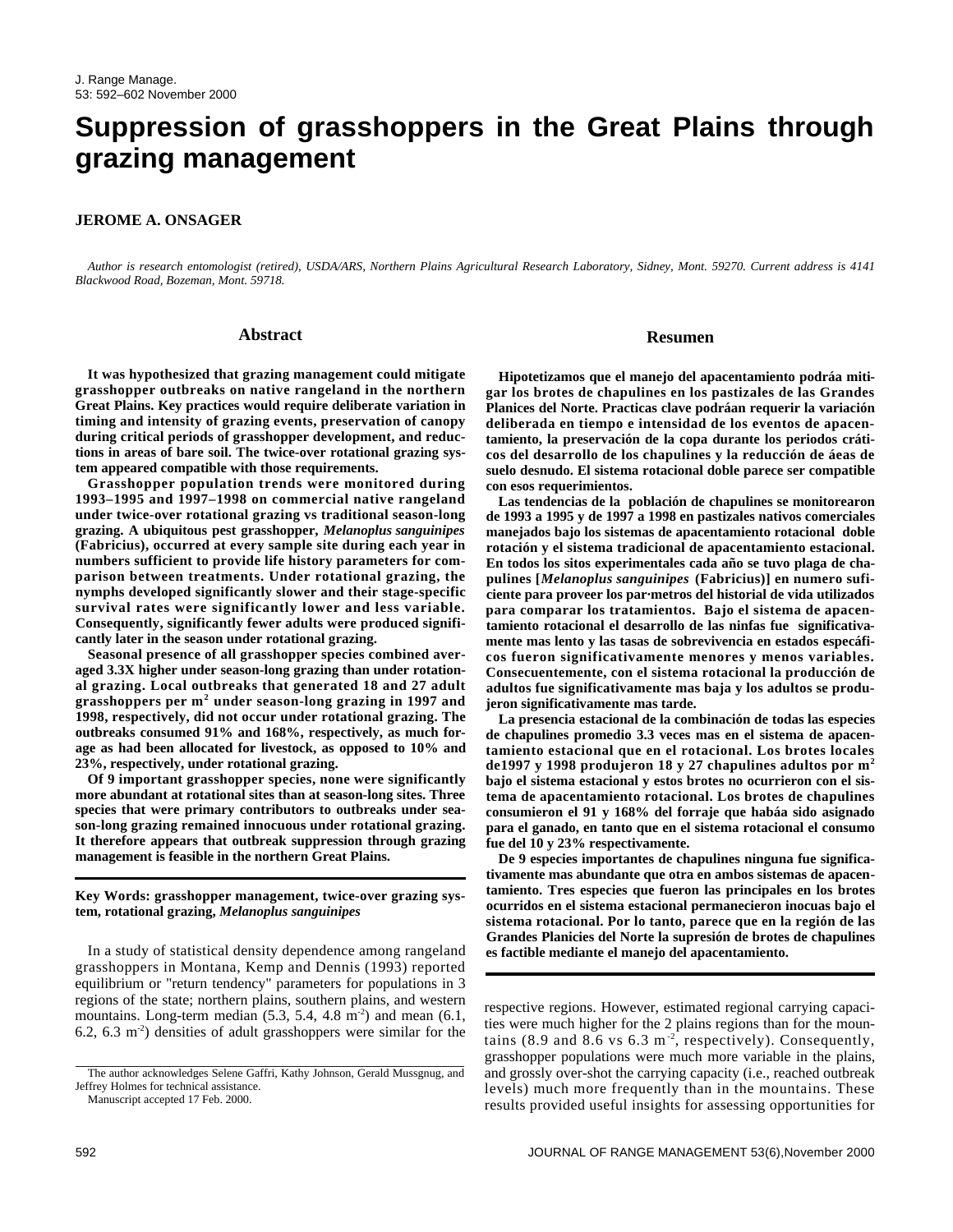# **Suppression of grasshoppers in the Great Plains through grazing management**

#### **JEROME A. ONSAGER**

*Author is research entomologist (retired), USDA/ARS, Northern Plains Agricultural Research Laboratory, Sidney, Mont. 59270. Current address is 4141 Blackwood Road, Bozeman, Mont. 59718.*

#### **Abstract**

**It was hypothesized that grazing management could mitigate grasshopper outbreaks on native rangeland in the northern Great Plains. Key practices would require deliberate variation in timing and intensity of grazing events, preservation of canopy during critical periods of grasshopper development, and reductions in areas of bare soil. The twice-over rotational grazing system appeared compatible with those requirements.**

**Grasshopper population trends were monitored during 1993–1995 and 1997–1998 on commercial native rangeland under twice-over rotational grazing vs traditional season-long grazing. A ubiquitous pest grasshopper,** *Melanoplus sanguinipes* **(Fabricius), occurred at every sample site during each year in numbers sufficient to provide life history parameters for comparison between treatments. Under rotational grazing, the nymphs developed significantly slower and their stage-specific survival rates were significantly lower and less variable. Consequently, significantly fewer adults were produced significantly later in the season under rotational grazing.**

**Seasonal presence of all grasshopper species combined averaged 3.3X higher under season-long grazing than under rotational grazing. Local outbreaks that generated 18 and 27 adult grasshoppers per m<sup>2</sup> under season-long grazing in 1997 and 1998, respectively, did not occur under rotational grazing. The outbreaks consumed 91% and 168%, respectively, as much forage as had been allocated for livestock, as opposed to 10% and 23%, respectively, under rotational grazing.**

**Of 9 important grasshopper species, none were significantly more abundant at rotational sites than at season-long sites. Three species that were primary contributors to outbreaks under season-long grazing remained innocuous under rotational grazing. It therefore appears that outbreak suppression through grazing management is feasible in the northern Great Plains.**

**Key Words: grasshopper management, twice-over grazing system, rotational grazing,** *Melanoplus sanguinipes* 

In a study of statistical density dependence among rangeland grasshoppers in Montana, Kemp and Dennis (1993) reported equilibrium or "return tendency" parameters for populations in 3 regions of the state; northern plains, southern plains, and western mountains. Long-term median  $(5.3, 5.4, 4.8 \text{ m}^2)$  and mean  $(6.1,$ 6.2, 6.3  $m<sup>2</sup>$ ) densities of adult grasshoppers were similar for the

Manuscript accepted 17 Feb. 2000.

#### **Resumen**

**Hipotetizamos que el manejo del apacentamiento podráa mitigar los brotes de chapulines en los pastizales de las Grandes Planices del Norte. Practicas clave podráan requerir la variación deliberada en tiempo e intensidad de los eventos de apacentamiento, la preservación de la copa durante los periodos cráticos del desarrollo de los chapulines y la reducción de áeas de suelo desnudo. El sistema rotacional doble parece ser compatible con esos requerimientos.**

**Las tendencias de la población de chapulines se monitorearon de 1993 a 1995 y de 1997 a 1998 en pastizales nativos comerciales manejados bajo los sistemas de apacentamiento rotacional doble rotación y el sistema tradicional de apacentamiento estacional. En todos los sitos experimentales cada año se tuvo plaga de chapulines [***Melanoplus sanguinipes* **(Fabricius)] en numero suficiente para proveer los par·metros del historial de vida utilizados para comparar los tratamientos. Bajo el sistema de apacentamiento rotacional el desarrollo de las ninfas fue significativamente mas lento y las tasas de sobrevivencia en estados especáficos fueron significativamente menores y menos variables. Consecuentemente, con el sistema rotacional la producción de adultos fue significativamente mas baja y los adultos se produjeron significativamente mas tarde.** 

**La presencia estacional de la combinación de todas las especies de chapulines promedio 3.3 veces mas en el sistema de apacentamiento estacional que en el rotacional. Los brotes locales de1997 y 1998 produjeron 18 y 27 chapulines adultos por m<sup>2</sup> bajo el sistema estacional y estos brotes no ocurrieron con el sistema de apacentamiento rotacional. Los brotes de chapulines consumieron el 91 y 168% del forraje que habáa sido asignado para el ganado, en tanto que en el sistema rotacional el consumo fue del 10 y 23% respectivamente.**

**De 9 especies importantes de chapulines ninguna fue significativamente mas abundante que otra en ambos sistemas de apacentamiento. Tres especies que fueron las principales en los brotes ocurridos en el sistema estacional permanecieron inocuas bajo el sistema rotacional. Por lo tanto, parece que en la región de las Grandes Planicies del Norte la supresión de brotes de chapulines es factible mediante el manejo del apacentamiento.**

respective regions. However, estimated regional carrying capacities were much higher for the 2 plains regions than for the mountains (8.9 and 8.6 vs  $6.3 \text{ m}^{-2}$ , respectively). Consequently, grasshopper populations were much more variable in the plains, and grossly over-shot the carrying capacity (i.e., reached outbreak levels) much more frequently than in the mountains. These results provided useful insights for assessing opportunities for

The author acknowledges Selene Gaffri, Kathy Johnson, Gerald Mussgnug, and Jeffrey Holmes for technical assistance.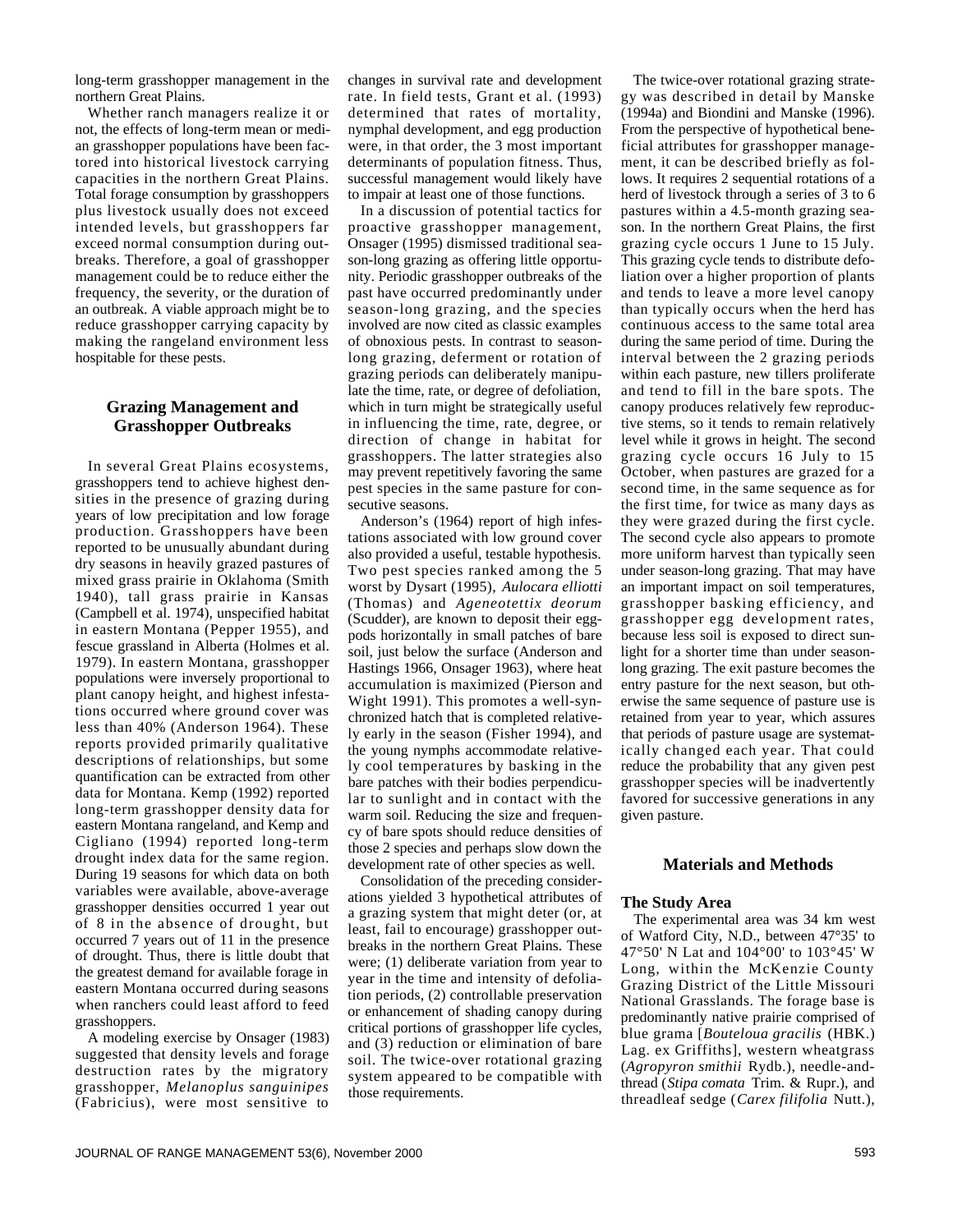long-term grasshopper management in the northern Great Plains.

Whether ranch managers realize it or not, the effects of long-term mean or median grasshopper populations have been factored into historical livestock carrying capacities in the northern Great Plains. Total forage consumption by grasshoppers plus livestock usually does not exceed intended levels, but grasshoppers far exceed normal consumption during outbreaks. Therefore, a goal of grasshopper management could be to reduce either the frequency, the severity, or the duration of an outbreak. A viable approach might be to reduce grasshopper carrying capacity by making the rangeland environment less hospitable for these pests.

## **Grazing Management and Grasshopper Outbreaks**

In several Great Plains ecosystems, grasshoppers tend to achieve highest densities in the presence of grazing during years of low precipitation and low forage production. Grasshoppers have been reported to be unusually abundant during dry seasons in heavily grazed pastures of mixed grass prairie in Oklahoma (Smith 1940), tall grass prairie in Kansas (Campbell et al. 1974), unspecified habitat in eastern Montana (Pepper 1955), and fescue grassland in Alberta (Holmes et al. 1979). In eastern Montana, grasshopper populations were inversely proportional to plant canopy height, and highest infestations occurred where ground cover was less than 40% (Anderson 1964). These reports provided primarily qualitative descriptions of relationships, but some quantification can be extracted from other data for Montana. Kemp (1992) reported long-term grasshopper density data for eastern Montana rangeland, and Kemp and Cigliano (1994) reported long-term drought index data for the same region. During 19 seasons for which data on both variables were available, above-average grasshopper densities occurred 1 year out of 8 in the absence of drought, but occurred 7 years out of 11 in the presence of drought. Thus, there is little doubt that the greatest demand for available forage in eastern Montana occurred during seasons when ranchers could least afford to feed grasshoppers.

A modeling exercise by Onsager (1983) suggested that density levels and forage destruction rates by the migratory grasshopper, *Melanoplus sanguinipes* (Fabricius), were most sensitive to

changes in survival rate and development rate. In field tests, Grant et al. (1993) determined that rates of mortality, nymphal development, and egg production were, in that order, the 3 most important determinants of population fitness. Thus, successful management would likely have to impair at least one of those functions.

In a discussion of potential tactics for proactive grasshopper management, Onsager (1995) dismissed traditional season-long grazing as offering little opportunity. Periodic grasshopper outbreaks of the past have occurred predominantly under season-long grazing, and the species involved are now cited as classic examples of obnoxious pests. In contrast to seasonlong grazing, deferment or rotation of grazing periods can deliberately manipulate the time, rate, or degree of defoliation, which in turn might be strategically useful in influencing the time, rate, degree, or direction of change in habitat for grasshoppers. The latter strategies also may prevent repetitively favoring the same pest species in the same pasture for consecutive seasons.

Anderson's (1964) report of high infestations associated with low ground cover also provided a useful, testable hypothesis. Two pest species ranked among the 5 worst by Dysart (1995), *Aulocara elliotti* (Thomas) and *Ageneotettix deorum* (Scudder), are known to deposit their eggpods horizontally in small patches of bare soil, just below the surface (Anderson and Hastings 1966, Onsager 1963), where heat accumulation is maximized (Pierson and Wight 1991). This promotes a well-synchronized hatch that is completed relatively early in the season (Fisher 1994), and the young nymphs accommodate relatively cool temperatures by basking in the bare patches with their bodies perpendicular to sunlight and in contact with the warm soil. Reducing the size and frequency of bare spots should reduce densities of those 2 species and perhaps slow down the development rate of other species as well.

Consolidation of the preceding considerations yielded 3 hypothetical attributes of a grazing system that might deter (or, at least, fail to encourage) grasshopper outbreaks in the northern Great Plains. These were; (1) deliberate variation from year to year in the time and intensity of defoliation periods, (2) controllable preservation or enhancement of shading canopy during critical portions of grasshopper life cycles, and (3) reduction or elimination of bare soil. The twice-over rotational grazing system appeared to be compatible with those requirements.

The twice-over rotational grazing strategy was described in detail by Manske (1994a) and Biondini and Manske (1996). From the perspective of hypothetical beneficial attributes for grasshopper management, it can be described briefly as follows. It requires 2 sequential rotations of a herd of livestock through a series of 3 to 6 pastures within a 4.5-month grazing season. In the northern Great Plains, the first grazing cycle occurs 1 June to 15 July. This grazing cycle tends to distribute defoliation over a higher proportion of plants and tends to leave a more level canopy than typically occurs when the herd has continuous access to the same total area during the same period of time. During the interval between the 2 grazing periods within each pasture, new tillers proliferate and tend to fill in the bare spots. The canopy produces relatively few reproductive stems, so it tends to remain relatively level while it grows in height. The second grazing cycle occurs 16 July to 15 October, when pastures are grazed for a second time, in the same sequence as for the first time, for twice as many days as they were grazed during the first cycle. The second cycle also appears to promote more uniform harvest than typically seen under season-long grazing. That may have an important impact on soil temperatures, grasshopper basking efficiency, and grasshopper egg development rates, because less soil is exposed to direct sunlight for a shorter time than under seasonlong grazing. The exit pasture becomes the entry pasture for the next season, but otherwise the same sequence of pasture use is retained from year to year, which assures that periods of pasture usage are systematically changed each year. That could reduce the probability that any given pest grasshopper species will be inadvertently favored for successive generations in any given pasture.

# **Materials and Methods**

#### **The Study Area**

The experimental area was 34 km west of Watford City, N.D., between 47°35' to 47°50' N Lat and 104°00' to 103°45' W Long, within the McKenzie County Grazing District of the Little Missouri National Grasslands. The forage base is predominantly native prairie comprised of blue grama [*Bouteloua gracilis* (HBK.) Lag. ex Griffiths], western wheatgrass (*Agropyron smithii* Rydb.), needle-andthread (*Stipa comata* Trim. & Rupr.), and threadleaf sedge (*Carex filifolia* Nutt.),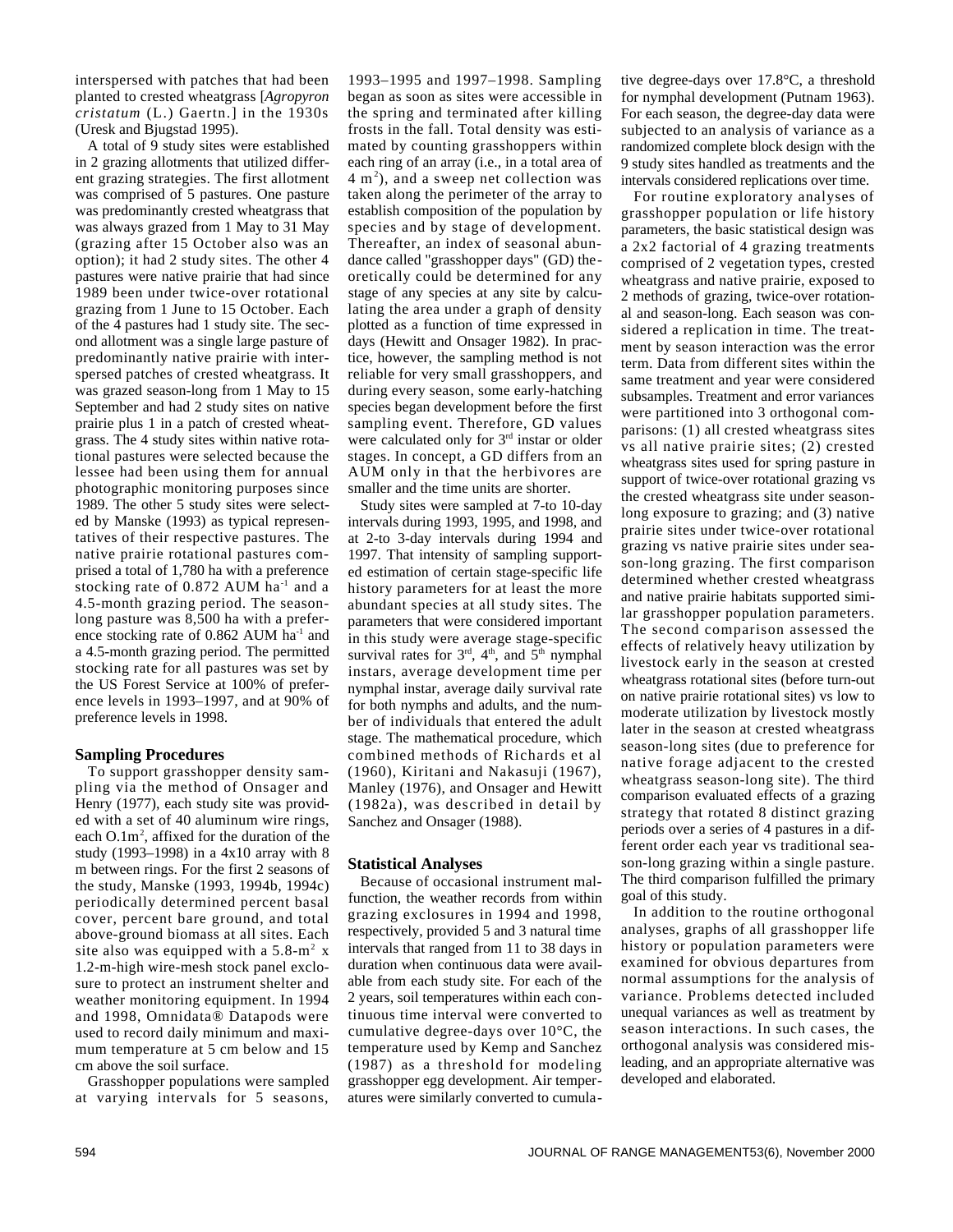interspersed with patches that had been planted to crested wheatgrass [*Agropyron cristatum* (L.) Gaertn.] in the 1930s (Uresk and Bjugstad 1995).

A total of 9 study sites were established in 2 grazing allotments that utilized different grazing strategies. The first allotment was comprised of 5 pastures. One pasture was predominantly crested wheatgrass that was always grazed from 1 May to 31 May (grazing after 15 October also was an option); it had 2 study sites. The other 4 pastures were native prairie that had since 1989 been under twice-over rotational grazing from 1 June to 15 October. Each of the 4 pastures had 1 study site. The second allotment was a single large pasture of predominantly native prairie with interspersed patches of crested wheatgrass. It was grazed season-long from 1 May to 15 September and had 2 study sites on native prairie plus 1 in a patch of crested wheatgrass. The 4 study sites within native rotational pastures were selected because the lessee had been using them for annual photographic monitoring purposes since 1989. The other 5 study sites were selected by Manske (1993) as typical representatives of their respective pastures. The native prairie rotational pastures comprised a total of 1,780 ha with a preference stocking rate of  $0.872$  AUM ha<sup>-1</sup> and a 4.5-month grazing period. The seasonlong pasture was 8,500 ha with a preference stocking rate of 0.862 AUM ha<sup>-1</sup> and a 4.5-month grazing period. The permitted stocking rate for all pastures was set by the US Forest Service at 100% of preference levels in 1993–1997, and at 90% of preference levels in 1998.

## **Sampling Procedures**

To support grasshopper density sampling via the method of Onsager and Henry (1977), each study site was provided with a set of 40 aluminum wire rings, each  $O.1m^2$ , affixed for the duration of the study (1993–1998) in a 4x10 array with 8 m between rings. For the first 2 seasons of the study, Manske (1993, 1994b, 1994c) periodically determined percent basal cover, percent bare ground, and total above-ground biomass at all sites. Each site also was equipped with a  $5.8\text{-m}^2$  x 1.2-m-high wire-mesh stock panel exclosure to protect an instrument shelter and weather monitoring equipment. In 1994 and 1998, Omnidata® Datapods were used to record daily minimum and maximum temperature at 5 cm below and 15 cm above the soil surface.

Grasshopper populations were sampled at varying intervals for 5 seasons,

1993–1995 and 1997–1998. Sampling began as soon as sites were accessible in the spring and terminated after killing frosts in the fall. Total density was estimated by counting grasshoppers within each ring of an array (i.e., in a total area of  $4 \text{ m}^2$ ), and a sweep net collection was taken along the perimeter of the array to establish composition of the population by species and by stage of development. Thereafter, an index of seasonal abundance called "grasshopper days" (GD) theoretically could be determined for any stage of any species at any site by calculating the area under a graph of density plotted as a function of time expressed in days (Hewitt and Onsager 1982). In practice, however, the sampling method is not reliable for very small grasshoppers, and during every season, some early-hatching species began development before the first sampling event. Therefore, GD values were calculated only for 3<sup>rd</sup> instar or older stages. In concept, a GD differs from an AUM only in that the herbivores are smaller and the time units are shorter.

Study sites were sampled at 7-to 10-day intervals during 1993, 1995, and 1998, and at 2-to 3-day intervals during 1994 and 1997. That intensity of sampling supported estimation of certain stage-specific life history parameters for at least the more abundant species at all study sites. The parameters that were considered important in this study were average stage-specific survival rates for  $3<sup>rd</sup>$ ,  $4<sup>th</sup>$ , and  $5<sup>th</sup>$  nymphal instars, average development time per nymphal instar, average daily survival rate for both nymphs and adults, and the number of individuals that entered the adult stage. The mathematical procedure, which combined methods of Richards et al (1960), Kiritani and Nakasuji (1967), Manley (1976), and Onsager and Hewitt (1982a), was described in detail by Sanchez and Onsager (1988).

#### **Statistical Analyses**

Because of occasional instrument malfunction, the weather records from within grazing exclosures in 1994 and 1998, respectively, provided 5 and 3 natural time intervals that ranged from 11 to 38 days in duration when continuous data were available from each study site. For each of the 2 years, soil temperatures within each continuous time interval were converted to cumulative degree-days over 10°C, the temperature used by Kemp and Sanchez (1987) as a threshold for modeling grasshopper egg development. Air temperatures were similarly converted to cumulative degree-days over 17.8°C, a threshold for nymphal development (Putnam 1963). For each season, the degree-day data were subjected to an analysis of variance as a randomized complete block design with the 9 study sites handled as treatments and the intervals considered replications over time.

For routine exploratory analyses of grasshopper population or life history parameters, the basic statistical design was a 2x2 factorial of 4 grazing treatments comprised of 2 vegetation types, crested wheatgrass and native prairie, exposed to 2 methods of grazing, twice-over rotational and season-long. Each season was considered a replication in time. The treatment by season interaction was the error term. Data from different sites within the same treatment and year were considered subsamples. Treatment and error variances were partitioned into 3 orthogonal comparisons: (1) all crested wheatgrass sites vs all native prairie sites; (2) crested wheatgrass sites used for spring pasture in support of twice-over rotational grazing vs the crested wheatgrass site under seasonlong exposure to grazing; and (3) native prairie sites under twice-over rotational grazing vs native prairie sites under season-long grazing. The first comparison determined whether crested wheatgrass and native prairie habitats supported similar grasshopper population parameters. The second comparison assessed the effects of relatively heavy utilization by livestock early in the season at crested wheatgrass rotational sites (before turn-out on native prairie rotational sites) vs low to moderate utilization by livestock mostly later in the season at crested wheatgrass season-long sites (due to preference for native forage adjacent to the crested wheatgrass season-long site). The third comparison evaluated effects of a grazing strategy that rotated 8 distinct grazing periods over a series of 4 pastures in a different order each year vs traditional season-long grazing within a single pasture. The third comparison fulfilled the primary goal of this study.

In addition to the routine orthogonal analyses, graphs of all grasshopper life history or population parameters were examined for obvious departures from normal assumptions for the analysis of variance. Problems detected included unequal variances as well as treatment by season interactions. In such cases, the orthogonal analysis was considered misleading, and an appropriate alternative was developed and elaborated.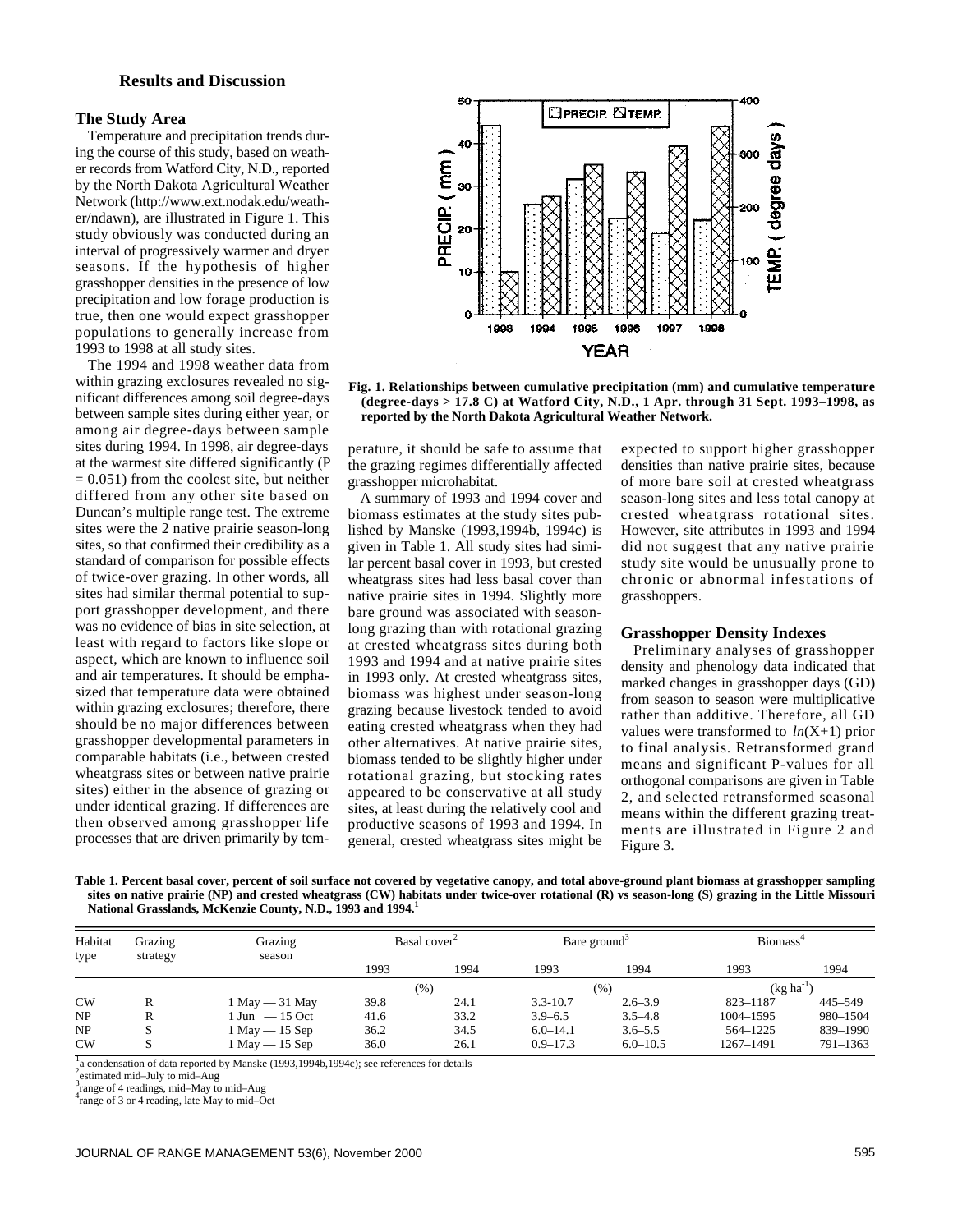## **Results and Discussion**

## **The Study Area**

Temperature and precipitation trends during the course of this study, based on weather records from Watford City, N.D., reported by the North Dakota Agricultural Weather Network (http://www.ext.nodak.edu/weather/ndawn), are illustrated in Figure 1. This study obviously was conducted during an interval of progressively warmer and dryer seasons. If the hypothesis of higher grasshopper densities in the presence of low precipitation and low forage production is true, then one would expect grasshopper populations to generally increase from 1993 to 1998 at all study sites.

The 1994 and 1998 weather data from within grazing exclosures revealed no significant differences among soil degree-days between sample sites during either year, or among air degree-days between sample sites during 1994. In 1998, air degree-days at the warmest site differed significantly (P  $= 0.051$ ) from the coolest site, but neither differed from any other site based on Duncan's multiple range test. The extreme sites were the 2 native prairie season-long sites, so that confirmed their credibility as a standard of comparison for possible effects of twice-over grazing. In other words, all sites had similar thermal potential to support grasshopper development, and there was no evidence of bias in site selection, at least with regard to factors like slope or aspect, which are known to influence soil and air temperatures. It should be emphasized that temperature data were obtained within grazing exclosures; therefore, there should be no major differences between grasshopper developmental parameters in comparable habitats (i.e., between crested wheatgrass sites or between native prairie sites) either in the absence of grazing or under identical grazing. If differences are then observed among grasshopper life processes that are driven primarily by tem-



**Fig. 1. Relationships between cumulative precipitation (mm) and cumulative temperature (degree-days > 17.8 C) at Watford City, N.D., 1 Apr. through 31 Sept. 1993–1998, as reported by the North Dakota Agricultural Weather Network.** 

perature, it should be safe to assume that the grazing regimes differentially affected grasshopper microhabitat.

A summary of 1993 and 1994 cover and biomass estimates at the study sites published by Manske (1993,1994b, 1994c) is given in Table 1. All study sites had similar percent basal cover in 1993, but crested wheatgrass sites had less basal cover than native prairie sites in 1994. Slightly more bare ground was associated with seasonlong grazing than with rotational grazing at crested wheatgrass sites during both 1993 and 1994 and at native prairie sites in 1993 only. At crested wheatgrass sites, biomass was highest under season-long grazing because livestock tended to avoid eating crested wheatgrass when they had other alternatives. At native prairie sites, biomass tended to be slightly higher under rotational grazing, but stocking rates appeared to be conservative at all study sites, at least during the relatively cool and productive seasons of 1993 and 1994. In general, crested wheatgrass sites might be

expected to support higher grasshopper densities than native prairie sites, because of more bare soil at crested wheatgrass season-long sites and less total canopy at crested wheatgrass rotational sites. However, site attributes in 1993 and 1994 did not suggest that any native prairie study site would be unusually prone to chronic or abnormal infestations of grasshoppers.

#### **Grasshopper Density Indexes**

Preliminary analyses of grasshopper density and phenology data indicated that marked changes in grasshopper days (GD) from season to season were multiplicative rather than additive. Therefore, all GD values were transformed to  $ln(X+1)$  prior to final analysis. Retransformed grand means and significant P-values for all orthogonal comparisons are given in Table 2, and selected retransformed seasonal means within the different grazing treatments are illustrated in Figure 2 and Figure 3.

**Table 1. Percent basal cover, percent of soil surface not covered by vegetative canopy, and total above-ground plant biomass at grasshopper sampling sites on native prairie (NP) and crested wheatgrass (CW) habitats under twice-over rotational (R) vs season-long (S) grazing in the Little Missouri National Grasslands, McKenzie County, N.D., 1993 and 1994.<sup>1</sup>**

| Habitat<br>type | Grazing<br>strategy | Grazing<br>season                 | Basal cover <sup>2</sup> |      | Bare ground <sup>3</sup> |              | Biomass <sup>4</sup> |              |
|-----------------|---------------------|-----------------------------------|--------------------------|------|--------------------------|--------------|----------------------|--------------|
|                 |                     |                                   | 1993                     | 1994 | 1993                     | 1994         | 1993                 | 1994         |
|                 |                     |                                   | (% )<br>(%)              |      | $(kg ha^{-1})$           |              |                      |              |
| <b>CW</b>       |                     | $1$ May $-31$ May                 | 39.8                     | 24.1 | $3.3 - 10.7$             | $2.6 - 3.9$  | 823-1187             | 445-549      |
| NP              | R                   | $1 \text{ Jun } -15 \text{ Oct }$ | 41.6                     | 33.2 | $3.9 - 6.5$              | $3.5 - 4.8$  | 1004-1595            | 980-1504     |
| NP              |                     | $1$ May $-15$ Sep                 | 36.2                     | 34.5 | $6.0 - 14.1$             | $3.6 - 5.5$  | 564-1225             | 839-1990     |
| <b>CW</b>       |                     | $1$ May $-15$ Sep                 | 36.0                     | 26.1 | $0.9 - 17.3$             | $6.0 - 10.5$ | 1267-1491            | $791 - 1363$ |

 $\frac{1}{4}$  condensation of data reported by Manske (1993,1994b,1994c); see references for details  $\frac{2}{5}$  stimularly light to with April

estimated mid–July to mid–Aug

3 range of 4 readings, mid–May to mid–Aug

4 range of 3 or 4 reading, late May to mid–Oct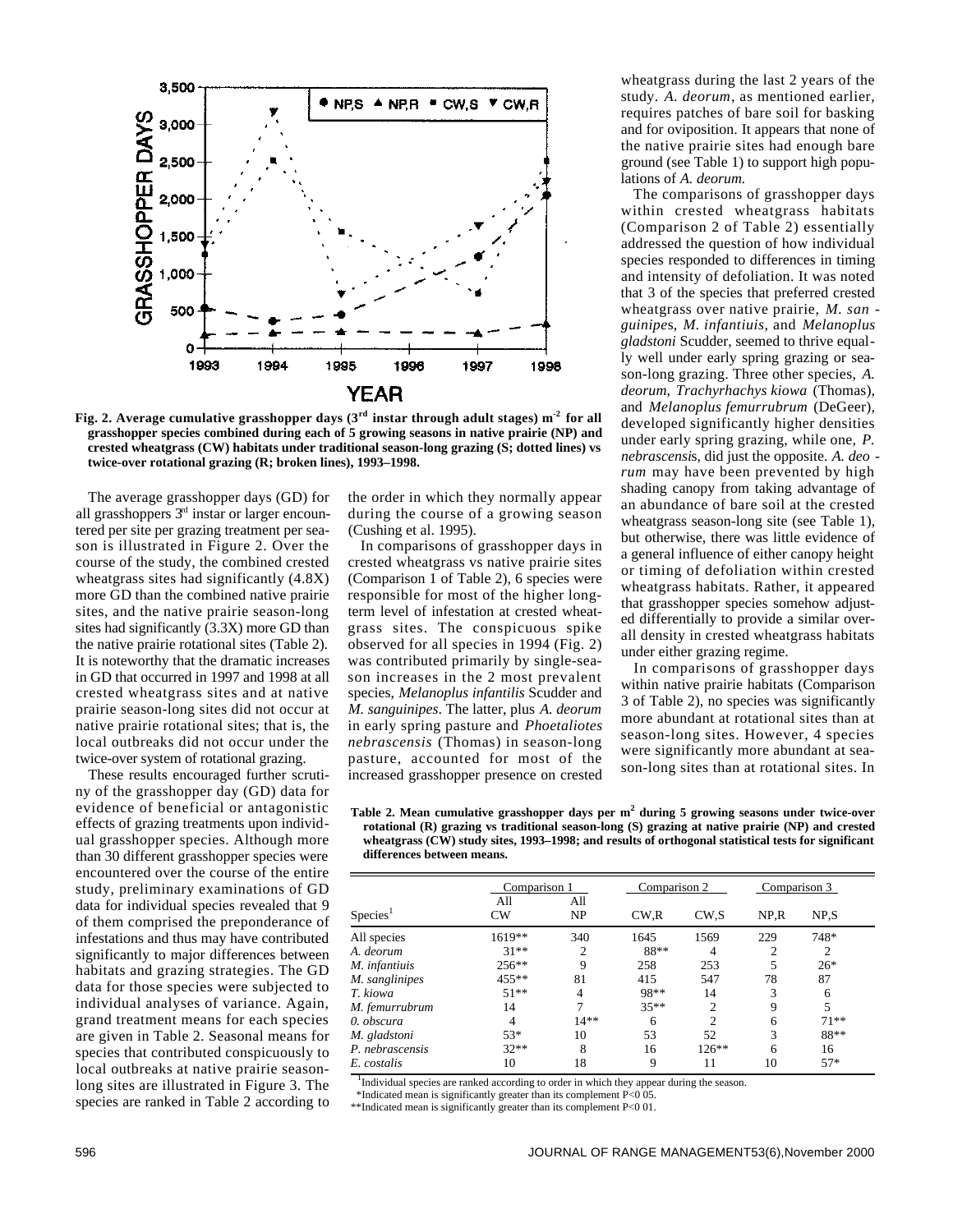

Fig. 2. Average cumulative grasshopper days  $(3<sup>rd</sup>$  instar through adult stages)  $m<sup>-2</sup>$  for all **grasshopper species combined during each of 5 growing seasons in native prairie (NP) and crested wheatgrass (CW) habitats under traditional season-long grazing (S; dotted lines) vs twice-over rotational grazing (R; broken lines), 1993–1998.** 

The average grasshopper days (GD) for all grasshoppers  $3<sup>rd</sup>$  instar or larger encountered per site per grazing treatment per season is illustrated in Figure 2. Over the course of the study, the combined crested wheatgrass sites had significantly (4.8X) more GD than the combined native prairie sites, and the native prairie season-long sites had significantly (3.3X) more GD than the native prairie rotational sites (Table 2). It is noteworthy that the dramatic increases in GD that occurred in 1997 and 1998 at all crested wheatgrass sites and at native prairie season-long sites did not occur at native prairie rotational sites; that is, the local outbreaks did not occur under the twice-over system of rotational grazing.

These results encouraged further scrutiny of the grasshopper day (GD) data for evidence of beneficial or antagonistic effects of grazing treatments upon individual grasshopper species. Although more than 30 different grasshopper species were encountered over the course of the entire study, preliminary examinations of GD data for individual species revealed that 9 of them comprised the preponderance of infestations and thus may have contributed significantly to major differences between habitats and grazing strategies. The GD data for those species were subjected to individual analyses of variance. Again, grand treatment means for each species are given in Table 2. Seasonal means for species that contributed conspicuously to local outbreaks at native prairie seasonlong sites are illustrated in Figure 3. The species are ranked in Table 2 according to the order in which they normally appear during the course of a growing season (Cushing et al. 1995).

In comparisons of grasshopper days in crested wheatgrass vs native prairie sites (Comparison 1 of Table 2), 6 species were responsible for most of the higher longterm level of infestation at crested wheatgrass sites. The conspicuous spike observed for all species in 1994 (Fig. 2) was contributed primarily by single-season increases in the 2 most prevalent species, *Melanoplus infantilis* Scudder and *M. sanguinipes*. The latter, plus *A. deorum* in early spring pasture and *Phoetaliotes nebrascensis* (Thomas) in season-long pasture, accounted for most of the increased grasshopper presence on crested

wheatgrass during the last 2 years of the study. *A. deorum*, as mentioned earlier, requires patches of bare soil for basking and for oviposition. It appears that none of the native prairie sites had enough bare ground (see Table 1) to support high populations of *A. deorum*.

The comparisons of grasshopper days within crested wheatgrass habitats (Comparison 2 of Table 2) essentially addressed the question of how individual species responded to differences in timing and intensity of defoliation. It was noted that 3 of the species that preferred crested wheatgrass over native prairie, *M. san g u i n i p e*s, *M. infantiuis*, and *M e l a n o p l u s gladstoni* Scudder, seemed to thrive equally well under early spring grazing or season-long grazing. Three other species, *A . deorum, Trachyrhachys kiowa* (Thomas), and *Melanoplus femurrubrum* (DeGeer), developed significantly higher densities under early spring grazing, while one, *P*. *nebrascensi*s, did just the opposite. *A. deo rum* may have been prevented by high shading canopy from taking advantage of an abundance of bare soil at the crested wheatgrass season-long site (see Table 1), but otherwise, there was little evidence of a general influence of either canopy height or timing of defoliation within crested wheatgrass habitats. Rather, it appeared that grasshopper species somehow adjusted differentially to provide a similar overall density in crested wheatgrass habitats under either grazing regime.

In comparisons of grasshopper days within native prairie habitats (Comparison 3 of Table 2), no species was significantly more abundant at rotational sites than at season-long sites. However, 4 species were significantly more abundant at season-long sites than at rotational sites. In

**Table 2. Mean cumulative grasshopper days per m<sup>2</sup> during 5 growing seasons under twice-over rotational (R) grazing vs traditional season-long (S) grazing at native prairie (NP) and crested wheatgrass (CW) study sites, 1993–1998; and results of orthogonal statistical tests for significant differences between means.** 

|                      | Comparison 1 |           | Comparison 2 |                   | Comparison 3 |                |
|----------------------|--------------|-----------|--------------|-------------------|--------------|----------------|
| Species <sup>1</sup> | All<br>CW    | All<br>NP | CW.R         | CW <sub>.</sub> S | NP.R         | NP.S           |
| All species          | $1619**$     | 340       | 1645         | 1569              | 229          | 748*           |
| A. deorum            | $31**$       | 2         | 88**         | 4                 | 2            | $\overline{2}$ |
| M. infantiuis        | $256***$     | Q         | 258          | 253               | 5            | $26*$          |
| M. sanglinipes       | 455**        | 81        | 415          | 547               | 78           | 87             |
| T. kiowa             | $51**$       | 4         | 98**         | 14                | 3            | 6              |
| M. femurrubrum       | 14           |           | $35**$       | $\mathfrak{D}$    | 9            | 5              |
| 0. obscura           | 4            | $14**$    | 6            | $\mathfrak{D}$    | 6            | $71**$         |
| M. gladstoni         | 53*          | 10        | 53           | 52                | 3            | 88**           |
| P. nebrascensis      | $32**$       | 8         | 16           | $126***$          | 6            | 16             |
| E. costalis          | 10           | 18        | 9            | 11                | 10           | $57*$          |

<sup>1</sup>Individual species are ranked according to order in which they appear during the season.

\*Indicated mean is significantly greater than its complement P<0 05.

\*\*Indicated mean is significantly greater than its complement P<0 01.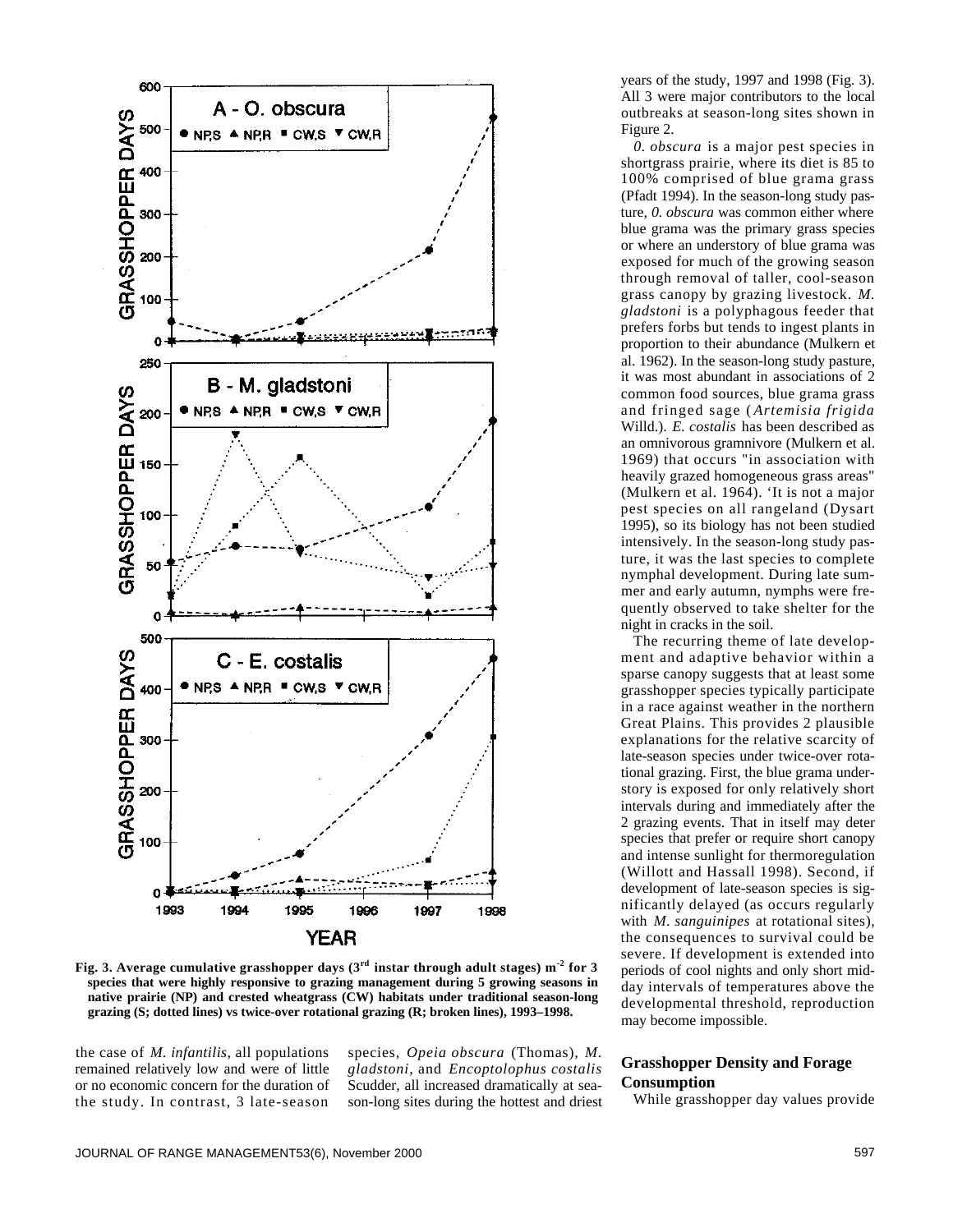

Fig. 3. Average cumulative grasshopper days  $(3<sup>rd</sup>$  instar through adult stages) m<sup>-2</sup> for 3 **species that were highly responsive to grazing management during 5 growing seasons in native prairie (NP) and crested wheatgrass (CW) habitats under traditional season-long grazing (S; dotted lines) vs twice-over rotational grazing (R; broken lines), 1993–1998.** 

the case of *M. infantilis*, all populations remained relatively low and were of little or no economic concern for the duration of the study. In contrast, 3 late-season

species, *Opeia obscura* (Thomas), *M . g l a d s t o n i*, and *Encoptolophus costalis* Scudder, all increased dramatically at season-long sites during the hottest and driest years of the study, 1997 and 1998 (Fig. 3). All 3 were major contributors to the local outbreaks at season-long sites shown in Figure 2.

*0. obscura* is a major pest species in shortgrass prairie, where its diet is 85 to 100% comprised of blue grama grass (Pfadt 1994). In the season-long study pasture, *0. obscura* was common either where blue grama was the primary grass species or where an understory of blue grama was exposed for much of the growing season through removal of taller, cool-season grass canopy by grazing livestock. *M . gladstoni* is a polyphagous feeder that prefers forbs but tends to ingest plants in proportion to their abundance (Mulkern et al. 1962). In the season-long study pasture, it was most abundant in associations of 2 common food sources, blue grama grass and fringed sage ( *Artemisia frigida* Willd.). *E. costalis* has been described as an omnivorous gramnivore (Mulkern et al. 1969) that occurs "in association with heavily grazed homogeneous grass areas" (Mulkern et al. 1964). 'It is not a major pest species on all rangeland (Dysart 1995), so its biology has not been studied intensively. In the season-long study pasture, it was the last species to complete nymphal development. During late summer and early autumn, nymphs were frequently observed to take shelter for the night in cracks in the soil.

The recurring theme of late development and adaptive behavior within a sparse canopy suggests that at least some grasshopper species typically participate in a race against weather in the northern Great Plains. This provides 2 plausible explanations for the relative scarcity of late-season species under twice-over rotational grazing. First, the blue grama understory is exposed for only relatively short intervals during and immediately after the 2 grazing events. That in itself may deter species that prefer or require short canopy and intense sunlight for thermoregulation (Willott and Hassall 1998). Second, if development of late-season species is significantly delayed (as occurs regularly with *M. sanguinipes* at rotational sites), the consequences to survival could be severe. If development is extended into periods of cool nights and only short midday intervals of temperatures above the developmental threshold, reproduction may become impossible.

## **Grasshopper Density and Forage Consumption**

While grasshopper day values provide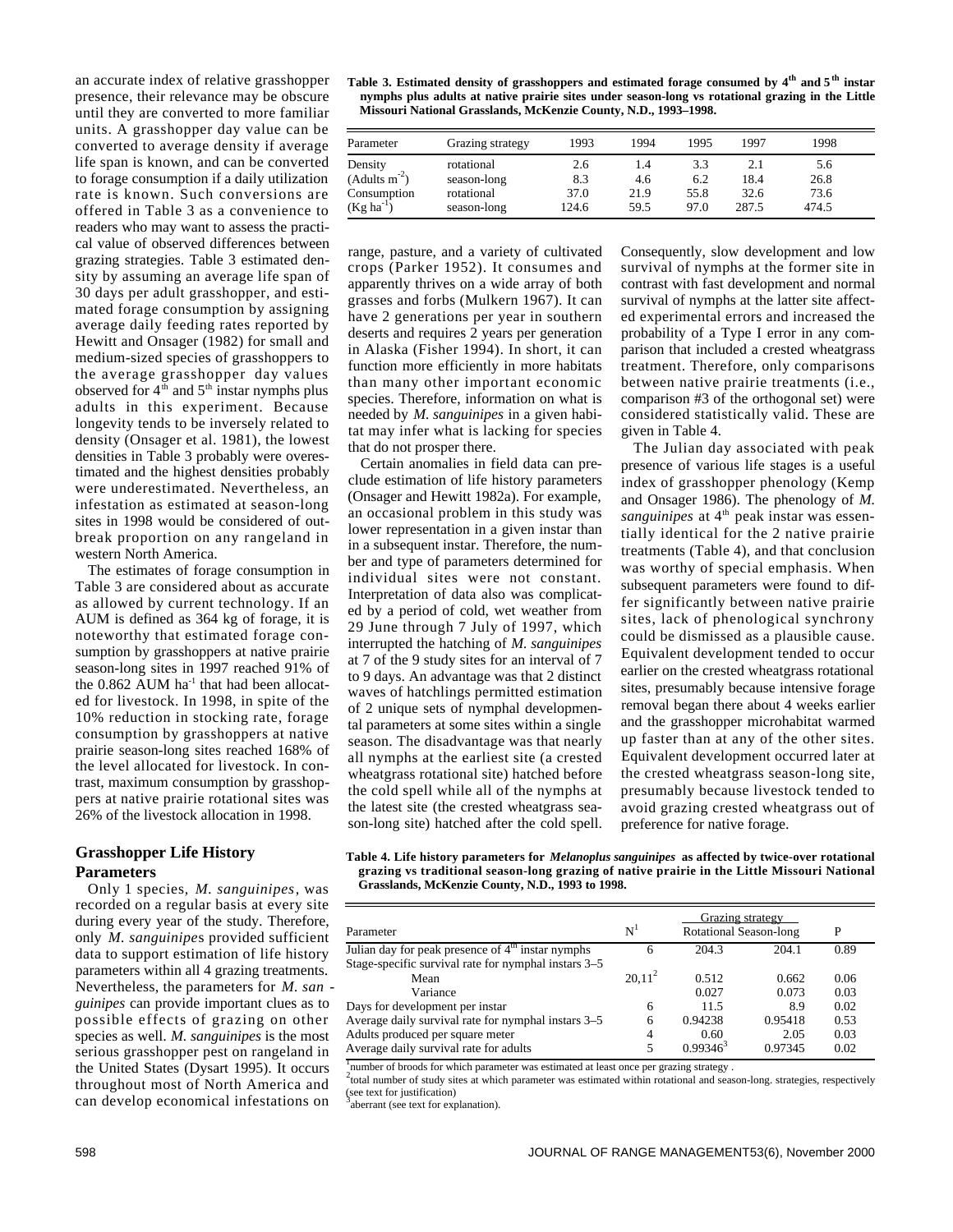an accurate index of relative grasshopper presence, their relevance may be obscure until they are converted to more familiar units. A grasshopper day value can be converted to average density if average life span is known, and can be converted to forage consumption if a daily utilization rate is known. Such conversions are offered in Table 3 as a convenience to readers who may want to assess the practical value of observed differences between grazing strategies. Table 3 estimated density by assuming an average life span of 30 days per adult grasshopper, and estimated forage consumption by assigning average daily feeding rates reported by Hewitt and Onsager (1982) for small and medium-sized species of grasshoppers to the average grasshopper day values observed for  $4<sup>th</sup>$  and  $5<sup>th</sup>$  instar nymphs plus adults in this experiment. Because longevity tends to be inversely related to density (Onsager et al. 1981), the lowest densities in Table 3 probably were overestimated and the highest densities probably were underestimated. Nevertheless, an infestation as estimated at season-long sites in 1998 would be considered of outbreak proportion on any rangeland in western North America.

The estimates of forage consumption in Table 3 are considered about as accurate as allowed by current technology. If an AUM is defined as 364 kg of forage, it is noteworthy that estimated forage consumption by grasshoppers at native prairie season-long sites in 1997 reached 91% of the  $0.862$  AUM ha<sup>-1</sup> that had been allocated for livestock. In 1998, in spite of the 10% reduction in stocking rate, forage consumption by grasshoppers at native prairie season-long sites reached 168% of the level allocated for livestock. In contrast, maximum consumption by grasshoppers at native prairie rotational sites was 26% of the livestock allocation in 1998.

# **Grasshopper Life History Parameters**

Only 1 species, *M. sanguinipes*, was recorded on a regular basis at every site during every year of the study. Therefore, only *M. sanguinipe*s provided sufficient data to support estimation of life history parameters within all 4 grazing treatments. Nevertheless, the parameters for *M. san guinipes* can provide important clues as to possible effects of grazing on other species as well. *M. sanguinipes* is the most serious grasshopper pest on rangeland in the United States (Dysart 1995). It occurs throughout most of North America and can develop economical infestations on

| Table 3. Estimated density of grasshoppers and estimated forage consumed by 4 <sup>th</sup> and 5 <sup>th</sup> instar |
|------------------------------------------------------------------------------------------------------------------------|
| nymphs plus adults at native prairie sites under season-long vs rotational grazing in the Little                       |
| Missouri National Grasslands, McKenzie County, N.D., 1993–1998.                                                        |

| Parameter      | Grazing strategy | 1993  | 1994 | 1995 | 1997  | 1998  |
|----------------|------------------|-------|------|------|-------|-------|
| Density        | rotational       | 2.6   | 1.4  | 3.3  | 2.1   | 5.6   |
| $(Adults m-2)$ | season-long      | 8.3   | 4.6  | 6.2  | 18.4  | 26.8  |
| Consumption    | rotational       | 37.0  | 21.9 | 55.8 | 32.6  | 73.6  |
| $(Kg ha^{-1})$ | season-long      | 124.6 | 59.5 | 97.0 | 287.5 | 474.5 |

range, pasture, and a variety of cultivated crops (Parker 1952). It consumes and apparently thrives on a wide array of both grasses and forbs (Mulkern 1967). It can have 2 generations per year in southern deserts and requires 2 years per generation in Alaska (Fisher 1994). In short, it can function more efficiently in more habitats than many other important economic species. Therefore, information on what is needed by *M. sanguinipes* in a given habitat may infer what is lacking for species that do not prosper there.

Certain anomalies in field data can preclude estimation of life history parameters (Onsager and Hewitt 1982a). For example, an occasional problem in this study was lower representation in a given instar than in a subsequent instar. Therefore, the number and type of parameters determined for individual sites were not constant. Interpretation of data also was complicated by a period of cold, wet weather from 29 June through 7 July of 1997, which interrupted the hatching of *M. sanguinipes* at 7 of the 9 study sites for an interval of 7 to 9 days. An advantage was that 2 distinct waves of hatchlings permitted estimation of 2 unique sets of nymphal developmental parameters at some sites within a single season. The disadvantage was that nearly all nymphs at the earliest site (a crested wheatgrass rotational site) hatched before the cold spell while all of the nymphs at the latest site (the crested wheatgrass season-long site) hatched after the cold spell.

Consequently, slow development and low survival of nymphs at the former site in contrast with fast development and normal survival of nymphs at the latter site affected experimental errors and increased the probability of a Type I error in any comparison that included a crested wheatgrass treatment. Therefore, only comparisons between native prairie treatments (i.e., comparison #3 of the orthogonal set) were considered statistically valid. These are given in Table 4.

The Julian day associated with peak presence of various life stages is a useful index of grasshopper phenology (Kemp and Onsager 1986). The phenology of *M. sanguinipes* at 4<sup>th</sup> peak instar was essentially identical for the 2 native prairie treatments (Table 4), and that conclusion was worthy of special emphasis. When subsequent parameters were found to differ significantly between native prairie sites, lack of phenological synchrony could be dismissed as a plausible cause. Equivalent development tended to occur earlier on the crested wheatgrass rotational sites, presumably because intensive forage removal began there about 4 weeks earlier and the grasshopper microhabitat warmed up faster than at any of the other sites. Equivalent development occurred later at the crested wheatgrass season-long site, presumably because livestock tended to avoid grazing crested wheatgrass out of preference for native forage.

**Table 4. Life history parameters for** *Melanoplus sanguinipes* **as affected by twice-over rotational grazing vs traditional season-long grazing of native prairie in the Little Missouri National Grasslands, McKenzie County, N.D., 1993 to 1998.** 

| Parameter                                                                | N'          | P              |                |              |
|--------------------------------------------------------------------------|-------------|----------------|----------------|--------------|
| Julian day for peak presence of $4th$ instar nymphs                      | 6           | 204.3          | 204.1          | 0.89         |
| Stage-specific survival rate for nymphal instars 3–5<br>Mean<br>Variance | $20.11^{2}$ | 0.512<br>0.027 | 0.662<br>0.073 | 0.06<br>0.03 |
| Days for development per instar                                          | 6           | 11.5           | 8.9            | 0.02         |
| Average daily survival rate for nymphal instars 3–5                      | 6           | 0.94238        | 0.95418        | 0.53         |
| Adults produced per square meter                                         | 4           | 0.60           | 2.05           | 0.03         |
| Average daily survival rate for adults                                   |             | $0.99346^3$    | 0.97345        | 0.02         |

number of broods for which parameter was estimated at least once per grazing strategy.

2 total number of study sites at which parameter was estimated within rotational and season-long. strategies, respectively (see text for justification)<br>
<sup>3</sup>aberrant (see text for explanation).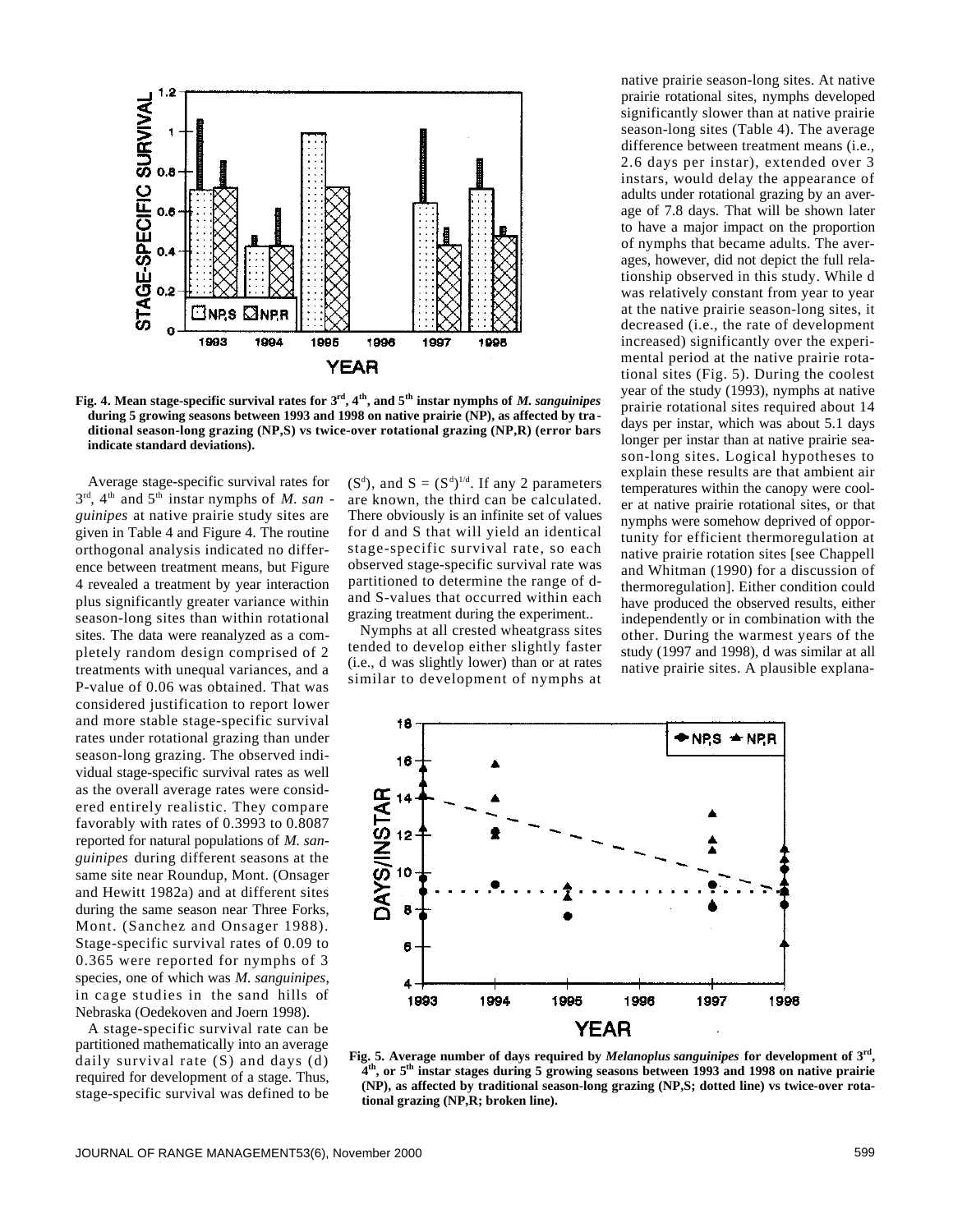

**Fig. 4. Mean stage-specific survival rates for 3rd, 4th, and 5th instar nymphs of** *M. sanguinipes* **during 5 growing seasons between 1993 and 1998 on native prairie (NP), as affected by traditional season-long grazing (NP,S) vs twice-over rotational grazing (NP,R) (error bars indicate standard deviations).** 

Average stage-specific survival rates for  $3<sup>rd</sup>$ , 4<sup>th</sup> and 5<sup>th</sup> instar nymphs of *M. san guinipes* at native prairie study sites are given in Table 4 and Figure 4. The routine orthogonal analysis indicated no difference between treatment means, but Figure 4 revealed a treatment by year interaction plus significantly greater variance within season-long sites than within rotational sites. The data were reanalyzed as a completely random design comprised of 2 treatments with unequal variances, and a P-value of 0.06 was obtained. That was considered justification to report lower and more stable stage-specific survival rates under rotational grazing than under season-long grazing. The observed individual stage-specific survival rates as well as the overall average rates were considered entirely realistic. They compare favorably with rates of 0.3993 to 0.8087 reported for natural populations of *M. sanguinipes* during different seasons at the same site near Roundup, Mont. (Onsager and Hewitt 1982a) and at different sites during the same season near Three Forks, Mont. (Sanchez and Onsager 1988). Stage-specific survival rates of 0.09 to 0.365 were reported for nymphs of 3 species, one of which was *M. sanguinipes*, in cage studies in the sand hills of Nebraska (Oedekoven and Joern 1998).

A stage-specific survival rate can be partitioned mathematically into an average daily survival rate (S) and days (d) required for development of a stage. Thus, stage-specific survival was defined to be

 $(S^d)$ , and  $S = (S^d)^{1/d}$ . If any 2 parameters are known, the third can be calculated. There obviously is an infinite set of values for d and S that will yield an identical stage-specific survival rate, so each observed stage-specific survival rate was partitioned to determine the range of dand S-values that occurred within each grazing treatment during the experiment..

Nymphs at all crested wheatgrass sites tended to develop either slightly faster (i.e., d was slightly lower) than or at rates similar to development of nymphs at native prairie season-long sites. At native prairie rotational sites, nymphs developed significantly slower than at native prairie season-long sites (Table 4). The average difference between treatment means (i.e., 2.6 days per instar), extended over 3 instars, would delay the appearance of adults under rotational grazing by an average of 7.8 days. That will be shown later to have a major impact on the proportion of nymphs that became adults. The averages, however, did not depict the full relationship observed in this study. While d was relatively constant from year to year at the native prairie season-long sites, it decreased (i.e., the rate of development increased) significantly over the experimental period at the native prairie rotational sites (Fig. 5). During the coolest year of the study (1993), nymphs at native prairie rotational sites required about 14 days per instar, which was about 5.1 days longer per instar than at native prairie season-long sites. Logical hypotheses to explain these results are that ambient air temperatures within the canopy were cooler at native prairie rotational sites, or that nymphs were somehow deprived of opportunity for efficient thermoregulation at native prairie rotation sites [see Chappell and Whitman (1990) for a discussion of thermoregulation]. Either condition could have produced the observed results, either independently or in combination with the other. During the warmest years of the study (1997 and 1998), d was similar at all native prairie sites. A plausible explana-



**Fig. 5. Average number of days required by** *Melanoplus sanguinipes* **for development of 3rd , 4 th, or 5th instar stages during 5 growing seasons between 1993 and 1998 on native prairie (NP), as affected by traditional season-long grazing (NP,S; dotted line) vs twice-over rotational grazing (NP,R; broken line).**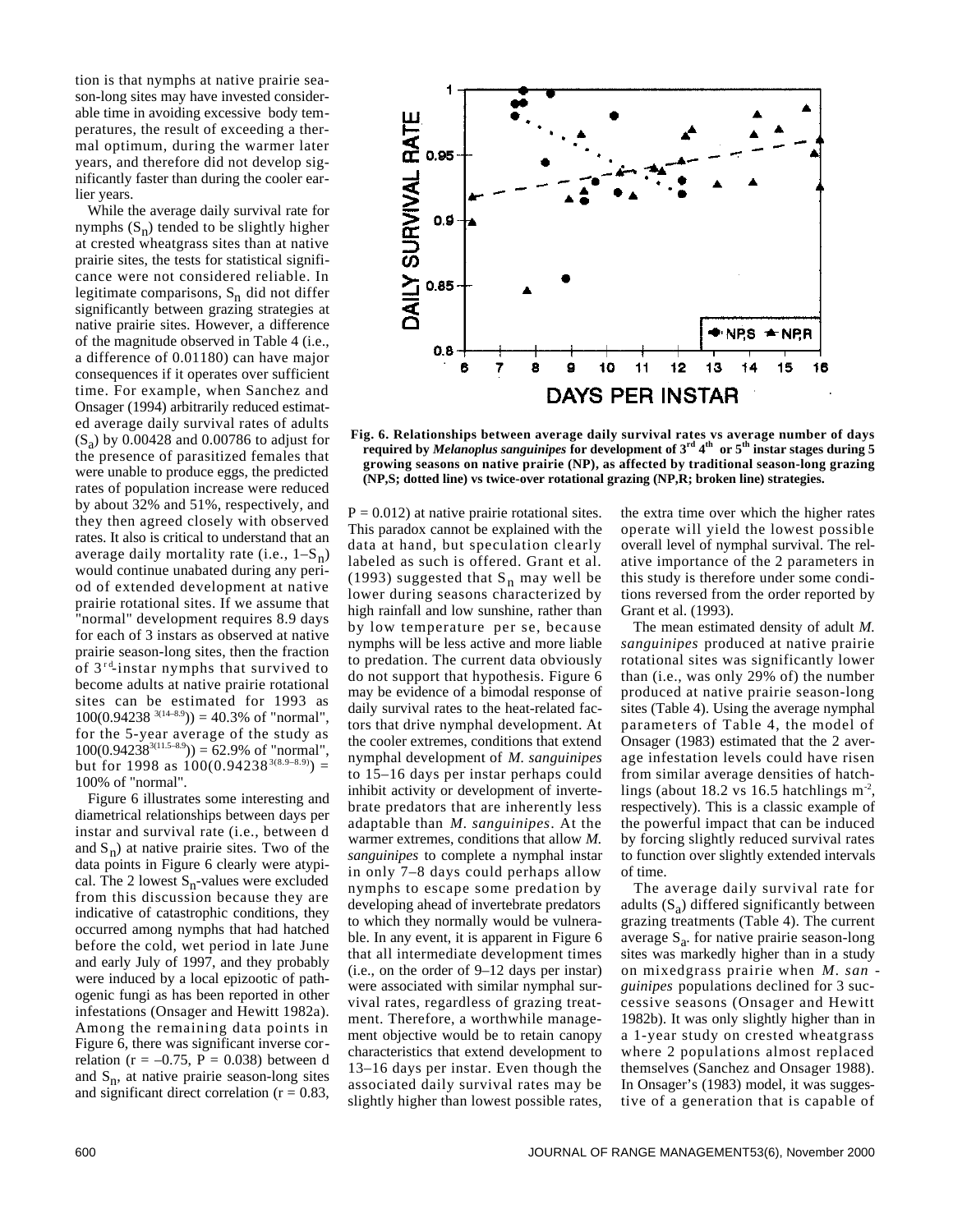tion is that nymphs at native prairie season-long sites may have invested considerable time in avoiding excessive body temperatures, the result of exceeding a thermal optimum, during the warmer later years, and therefore did not develop significantly faster than during the cooler earlier years.

While the average daily survival rate for nymphs  $(S_n)$  tended to be slightly higher at crested wheatgrass sites than at native prairie sites, the tests for statistical significance were not considered reliable. In legitimate comparisons, S<sub>n</sub> did not differ significantly between grazing strategies at native prairie sites. However, a difference of the magnitude observed in Table 4 (i.e., a difference of 0.01180) can have major consequences if it operates over sufficient time. For example, when Sanchez and Onsager (1994) arbitrarily reduced estimated average daily survival rates of adults  $(S_a)$  by 0.00428 and 0.00786 to adjust for the presence of parasitized females that were unable to produce eggs, the predicted rates of population increase were reduced by about 32% and 51%, respectively, and they then agreed closely with observed rates. It also is critical to understand that an average daily mortality rate (i.e.,  $1-S_{n}$ ) would continue unabated during any period of extended development at native prairie rotational sites. If we assume that "normal" development requires 8.9 days for each of 3 instars as observed at native prairie season-long sites, then the fraction of  $3<sup>rd</sup>$ -instar nymphs that survived to become adults at native prairie rotational sites can be estimated for 1993 as  $100(0.94238^{3(14-8.9})) = 40.3\%$  of "normal", for the 5-year average of the study as  $100(0.94238^{3(11.5-8.9})) = 62.9\%$  of "normal", but for 1998 as  $100(0.94238^{3(8.9-8.9)}) =$ 100% of "normal".

Figure 6 illustrates some interesting and diametrical relationships between days per instar and survival rate (i.e., between d and  $S_n$ ) at native prairie sites. Two of the data points in Figure 6 clearly were atypical. The 2 lowest  $S_n$ -values were excluded from this discussion because they are indicative of catastrophic conditions, they occurred among nymphs that had hatched before the cold, wet period in late June and early July of 1997, and they probably were induced by a local epizootic of pathogenic fungi as has been reported in other infestations (Onsager and Hewitt 1982a). Among the remaining data points in Figure 6, there was significant inverse correlation ( $r = -0.75$ ,  $P = 0.038$ ) between d and  $S_n$ , at native prairie season-long sites and significant direct correlation ( $r = 0.83$ ,



**Fig. 6. Relationships between average daily survival rates vs average number of days required by** *Melanoplus sanguinipes* **for development of 3rd 4 th or 5th instar stages during 5 growing seasons on native prairie (NP), as affected by traditional season-long grazing (NP,S; dotted line) vs twice-over rotational grazing (NP,R; broken line) strategies.**

 $P = 0.012$ ) at native prairie rotational sites. This paradox cannot be explained with the data at hand, but speculation clearly labeled as such is offered. Grant et al. (1993) suggested that  $S_n$  may well be lower during seasons characterized by high rainfall and low sunshine, rather than by low temperature per se, because nymphs will be less active and more liable to predation. The current data obviously do not support that hypothesis. Figure 6 may be evidence of a bimodal response of daily survival rates to the heat-related factors that drive nymphal development. At the cooler extremes, conditions that extend nymphal development of *M. sanguinipes* to 15–16 days per instar perhaps could inhibit activity or development of invertebrate predators that are inherently less adaptable than *M. sanguinipes*. At the warmer extremes, conditions that allow *M. sanguinipes* to complete a nymphal instar in only 7–8 days could perhaps allow nymphs to escape some predation by developing ahead of invertebrate predators to which they normally would be vulnerable. In any event, it is apparent in Figure 6 that all intermediate development times (i.e., on the order of 9–12 days per instar) were associated with similar nymphal survival rates, regardless of grazing treatment. Therefore, a worthwhile management objective would be to retain canopy characteristics that extend development to 13–16 days per instar. Even though the associated daily survival rates may be slightly higher than lowest possible rates,

the extra time over which the higher rates operate will yield the lowest possible overall level of nymphal survival. The relative importance of the 2 parameters in this study is therefore under some conditions reversed from the order reported by Grant et al. (1993).

The mean estimated density of adult *M. sanguinipes* produced at native prairie rotational sites was significantly lower than (i.e., was only 29% of) the number produced at native prairie season-long sites (Table 4). Using the average nymphal parameters of Table 4, the model of Onsager (1983) estimated that the 2 average infestation levels could have risen from similar average densities of hatchlings (about 18.2 vs 16.5 hatchlings  $m<sup>-2</sup>$ , respectively). This is a classic example of the powerful impact that can be induced by forcing slightly reduced survival rates to function over slightly extended intervals of time.

The average daily survival rate for adults  $(S_a)$  differed significantly between grazing treatments (Table 4). The current average S<sub>a</sub>. for native prairie season-long sites was markedly higher than in a study on mixedgrass prairie when *M. san guinipes* populations declined for 3 successive seasons (Onsager and Hewitt 1982b). It was only slightly higher than in a 1-year study on crested wheatgrass where 2 populations almost replaced themselves (Sanchez and Onsager 1988). In Onsager's (1983) model, it was suggestive of a generation that is capable of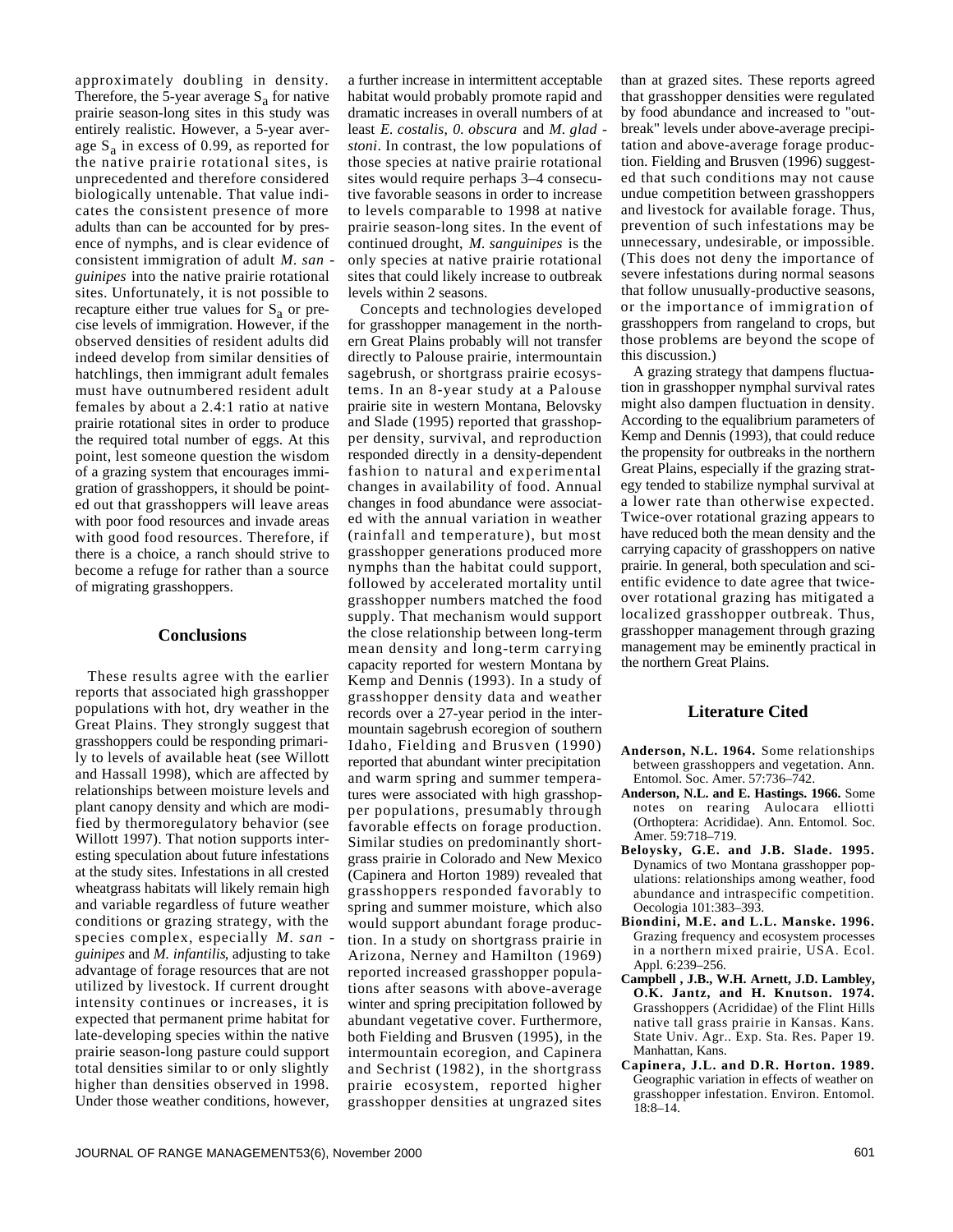approximately doubling in density. Therefore, the 5-year average  $S_a$  for native prairie season-long sites in this study was entirely realistic. However, a 5-year average S<sub>a</sub> in excess of 0.99, as reported for the native prairie rotational sites, is unprecedented and therefore considered biologically untenable. That value indicates the consistent presence of more adults than can be accounted for by presence of nymphs, and is clear evidence of consistent immigration of adult *M. san guinipes* into the native prairie rotational sites. Unfortunately, it is not possible to recapture either true values for  $S_a$  or precise levels of immigration. However, if the observed densities of resident adults did indeed develop from similar densities of hatchlings, then immigrant adult females must have outnumbered resident adult females by about a 2.4:1 ratio at native prairie rotational sites in order to produce the required total number of eggs. At this point, lest someone question the wisdom of a grazing system that encourages immigration of grasshoppers, it should be pointed out that grasshoppers will leave areas with poor food resources and invade areas with good food resources. Therefore, if there is a choice, a ranch should strive to become a refuge for rather than a source of migrating grasshoppers.

#### **Conclusions**

These results agree with the earlier reports that associated high grasshopper populations with hot, dry weather in the Great Plains. They strongly suggest that grasshoppers could be responding primarily to levels of available heat (see Willott and Hassall 1998), which are affected by relationships between moisture levels and plant canopy density and which are modified by thermoregulatory behavior (see Willott 1997). That notion supports interesting speculation about future infestations at the study sites. Infestations in all crested wheatgrass habitats will likely remain high and variable regardless of future weather conditions or grazing strategy, with the species complex, especially *M. san guinipes* and *M. infantilis*, adjusting to take advantage of forage resources that are not utilized by livestock. If current drought intensity continues or increases, it is expected that permanent prime habitat for late-developing species within the native prairie season-long pasture could support total densities similar to or only slightly higher than densities observed in 1998. Under those weather conditions, however,

a further increase in intermittent acceptable habitat would probably promote rapid and dramatic increases in overall numbers of at least *E. costalis*, *0. obscura* and *M. glad stoni*. In contrast, the low populations of those species at native prairie rotational sites would require perhaps 3–4 consecutive favorable seasons in order to increase to levels comparable to 1998 at native prairie season-long sites. In the event of continued drought, *M. sanguinipes* is the only species at native prairie rotational sites that could likely increase to outbreak levels within 2 seasons.

Concepts and technologies developed for grasshopper management in the northern Great Plains probably will not transfer directly to Palouse prairie, intermountain sagebrush, or shortgrass prairie ecosystems. In an 8-year study at a Palouse prairie site in western Montana, Belovsky and Slade (1995) reported that grasshopper density, survival, and reproduction responded directly in a density-dependent fashion to natural and experimental changes in availability of food. Annual changes in food abundance were associated with the annual variation in weather (rainfall and temperature), but most grasshopper generations produced more nymphs than the habitat could support, followed by accelerated mortality until grasshopper numbers matched the food supply. That mechanism would support the close relationship between long-term mean density and long-term carrying capacity reported for western Montana by Kemp and Dennis (1993). In a study of grasshopper density data and weather records over a 27-year period in the intermountain sagebrush ecoregion of southern Idaho, Fielding and Brusven (1990) reported that abundant winter precipitation and warm spring and summer temperatures were associated with high grasshopper populations, presumably through favorable effects on forage production. Similar studies on predominantly shortgrass prairie in Colorado and New Mexico (Capinera and Horton 1989) revealed that grasshoppers responded favorably to spring and summer moisture, which also would support abundant forage production. In a study on shortgrass prairie in Arizona, Nerney and Hamilton (1969) reported increased grasshopper populations after seasons with above-average winter and spring precipitation followed by abundant vegetative cover. Furthermore, both Fielding and Brusven (1995), in the intermountain ecoregion, and Capinera and Sechrist (1982), in the shortgrass prairie ecosystem, reported higher grasshopper densities at ungrazed sites

than at grazed sites. These reports agreed that grasshopper densities were regulated by food abundance and increased to "outbreak" levels under above-average precipitation and above-average forage production. Fielding and Brusven (1996) suggested that such conditions may not cause undue competition between grasshoppers and livestock for available forage. Thus, prevention of such infestations may be unnecessary, undesirable, or impossible. (This does not deny the importance of severe infestations during normal seasons that follow unusually-productive seasons, or the importance of immigration of grasshoppers from rangeland to crops, but those problems are beyond the scope of this discussion.)

A grazing strategy that dampens fluctuation in grasshopper nymphal survival rates might also dampen fluctuation in density. According to the equalibrium parameters of Kemp and Dennis (1993), that could reduce the propensity for outbreaks in the northern Great Plains, especially if the grazing strategy tended to stabilize nymphal survival at a lower rate than otherwise expected. Twice-over rotational grazing appears to have reduced both the mean density and the carrying capacity of grasshoppers on native prairie. In general, both speculation and scientific evidence to date agree that twiceover rotational grazing has mitigated a localized grasshopper outbreak. Thus, grasshopper management through grazing management may be eminently practical in the northern Great Plains.

### **Literature Cited**

- **Anderson, N.L. 1964.** Some relationships between grasshoppers and vegetation. Ann. Entomol. Soc. Amer. 57:736–742.
- **Anderson, N.L. and E. Hastings. 1966.** Some notes on rearing Aulocara elliotti (Orthoptera: Acrididae). Ann. Entomol. Soc. Amer. 59:718–719.
- **Beloysky, G.E. and J.B. Slade. 1995.** Dynamics of two Montana grasshopper populations: relationships among weather, food abundance and intraspecific competition. Oecologia 101:383–393.
- **Biondini, M.E. and L.L. Manske. 1996.** Grazing frequency and ecosystem processes in a northern mixed prairie, USA. Ecol. Appl. 6:239–256.
- **Campbell , J.B., W.H. Arnett, J.D. Lambley, O.K. Jantz, and H. Knutson. 1974.** Grasshoppers (Acrididae) of the Flint Hills native tall grass prairie in Kansas. Kans. State Univ. Agr.. Exp. Sta. Res. Paper 19. Manhattan, Kans.
- **Capinera, J.L. and D.R. Horton. 1989.** Geographic variation in effects of weather on grasshopper infestation. Environ. Entomol. 18:8–14.